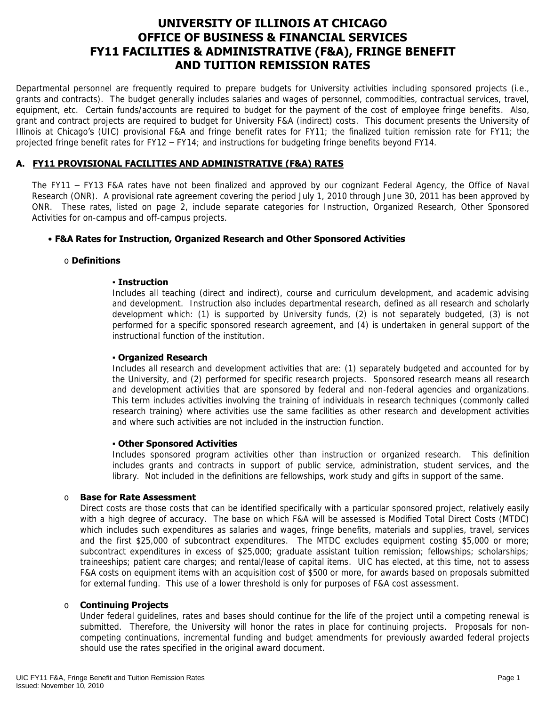# **OFFICE OF BUSINESS & FINANCIAL SERVICES FY11 FACILITIES & ADMINISTRATIVE (F&A), FRINGE BENEFIT UNIVERSITY OF ILLINOIS AT CHICAGO AND TUITION REMISSION RATES**

 Departmental personnel are frequently required to prepare budgets for University activities including sponsored projects (i.e., grants and contracts). The budget generally includes salaries and wages of personnel, commodities, contractual services, travel, equipment, etc. Certain funds/accounts are required to budget for the payment of the cost of employee fringe benefits. Also, grant and contract projects are required to budget for University F&A (indirect) costs. This document presents the University of Illinois at Chicago's (UIC) provisional F&A and fringe benefit rates for FY11; the finalized tuition remission rate for FY11; the projected fringe benefit rates for FY12 – FY14; and instructions for budgeting fringe benefits beyond FY14.

### **A. FY11 PROVISIONAL FACILITIES AND ADMINISTRATIVE (F&A) RATES**

 The FY11 – FY13 F&A rates have not been finalized and approved by our cognizant Federal Agency, the Office of Naval ONR. These rates, listed on page 2, include separate categories for Instruction, Organized Research, Other Sponsored Research (ONR). A provisional rate agreement covering the period July 1, 2010 through June 30, 2011 has been approved by Activities for on-campus and off-campus projects.

#### • **F&A Rates for Instruction, Organized Research and Other Sponsored Activities**

#### o **Definitions**

#### ▪ **Instruction**

 and development. Instruction also includes departmental research, defined as all research and scholarly development which: (1) is supported by University funds, (2) is not separately budgeted, (3) is not performed for a specific sponsored research agreement, and (4) is undertaken in general support of the Includes all teaching (direct and indirect), course and curriculum development, and academic advising instructional function of the institution.

#### ▪ **Organized Research**

 Includes all research and development activities that are: (1) separately budgeted and accounted for by the University, and (2) performed for specific research projects. Sponsored research means all research and development activities that are sponsored by federal and non-federal agencies and organizations. This term includes activities involving the training of individuals in research techniques (commonly called research training) where activities use the same facilities as other research and development activities and where such activities are not included in the instruction function.

#### ▪ **Other Sponsored Activities**

 Includes sponsored program activities other than instruction or organized research. This definition includes grants and contracts in support of public service, administration, student services, and the library. Not included in the definitions are fellowships, work study and gifts in support of the same.

#### o **Base for Rate Assessment**

 Direct costs are those costs that can be identified specifically with a particular sponsored project, relatively easily with a high degree of accuracy. The base on which F&A will be assessed is Modified Total Direct Costs (MTDC) and the first \$25,000 of subcontract expenditures. The MTDC excludes equipment costing \$5,000 or more; subcontract expenditures in excess of \$25,000; graduate assistant tuition remission; fellowships; scholarships; traineeships; patient care charges; and rental/lease of capital items. UIC has elected, at this time, not to assess which includes such expenditures as salaries and wages, fringe benefits, materials and supplies, travel, services F&A costs on equipment items with an acquisition cost of \$500 or more, for awards based on proposals submitted for external funding. This use of a lower threshold is only for purposes of F&A cost assessment.

#### o **Continuing Projects**

 Under federal guidelines, rates and bases should continue for the life of the project until a competing renewal is submitted. Therefore, the University will honor the rates in place for continuing projects. Proposals for noncompeting continuations, incremental funding and budget amendments for previously awarded federal projects should use the rates specified in the original award document.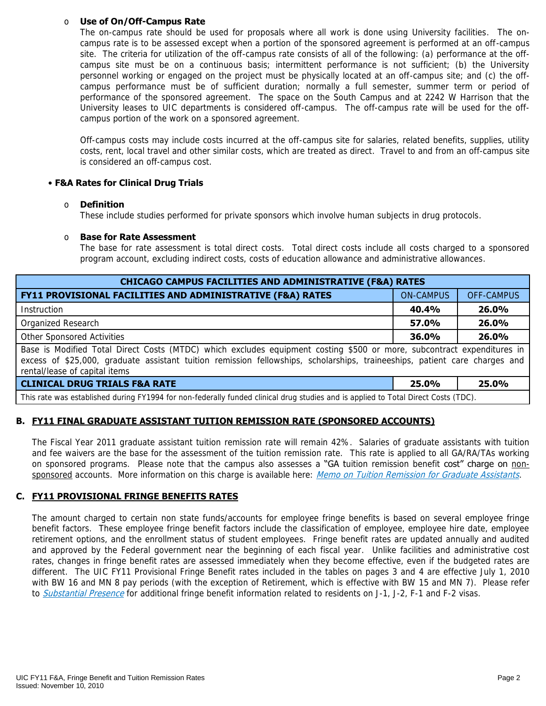#### o **Use of On/Off-Campus Rate**

 The on-campus rate should be used for proposals where all work is done using University facilities. The on- campus rate is to be assessed except when a portion of the sponsored agreement is performed at an off-campus site. The criteria for utilization of the off-campus rate consists of all of the following: (a) performance at the off- campus site must be on a continuous basis; intermittent performance is not sufficient; (b) the University personnel working or engaged on the project must be physically located at an off-campus site; and (c) the off- campus performance must be of sufficient duration; normally a full semester, summer term or period of performance of the sponsored agreement. The space on the South Campus and at 2242 W Harrison that the University leases to UIC departments is considered off-campus. The off-campus rate will be used for the offcampus portion of the work on a sponsored agreement.

 Off-campus costs may include costs incurred at the off-campus site for salaries, related benefits, supplies, utility costs, rent, local travel and other similar costs, which are treated as direct. Travel to and from an off-campus site is considered an off-campus cost.

#### • **F&A Rates for Clinical Drug Trials**

#### o **Definition**

These include studies performed for private sponsors which involve human subjects in drug protocols.

#### o **Base for Rate Assessment**

 The base for rate assessment is total direct costs. Total direct costs include all costs charged to a sponsored program account, excluding indirect costs, costs of education allowance and administrative allowances.

| <b>CHICAGO CAMPUS FACILITIES AND ADMINISTRATIVE (F&amp;A) RATES</b>                                                                                                                                                                                                                   |                  |            |  |  |  |  |
|---------------------------------------------------------------------------------------------------------------------------------------------------------------------------------------------------------------------------------------------------------------------------------------|------------------|------------|--|--|--|--|
| FY11 PROVISIONAL FACILITIES AND ADMINISTRATIVE (F&A) RATES                                                                                                                                                                                                                            | <b>ON-CAMPUS</b> | OFF-CAMPUS |  |  |  |  |
| Instruction                                                                                                                                                                                                                                                                           | 40.4%            | 26.0%      |  |  |  |  |
| Organized Research                                                                                                                                                                                                                                                                    | 57.0%            | 26.0%      |  |  |  |  |
| Other Sponsored Activities                                                                                                                                                                                                                                                            | $36.0\%$         | 26.0%      |  |  |  |  |
| Base is Modified Total Direct Costs (MTDC) which excludes equipment costing \$500 or more, subcontract expenditures in<br>excess of \$25,000, graduate assistant tuition remission fellowships, scholarships, traineeships, patient care charges and<br>rental/lease of capital items |                  |            |  |  |  |  |
| <b>CLINICAL DRUG TRIALS F&amp;A RATE</b>                                                                                                                                                                                                                                              | 25.0%            | 25.0%      |  |  |  |  |
| This rate was established during FY1994 for non-federally funded clinical drug studies and is applied to Total Direct Costs (TDC).                                                                                                                                                    |                  |            |  |  |  |  |

### **B. FY11 FINAL GRADUATE ASSISTANT TUITION REMISSION RATE (SPONSORED ACCOUNTS)**

 The Fiscal Year 2011 graduate assistant tuition remission rate will remain 42%. Salaries of graduate assistants with tuition and fee waivers are the base for the assessment of the tuition remission rate. This rate is applied to all GA/RA/TAs working on sponsored programs. Please note that the campus also assesses a "GA tuition remission benefit cost" charge on non-sponsored accounts. More information on this charge is available here: Memo on [Tuition Remission for Graduate Assistants](https://www.obfs.uillinois.edu/common/pages/DisplayFile.aspx?itemId=436386).

#### **C. FY11 PROVISIONAL FRINGE BENEFITS RATES**

 The amount charged to certain non state funds/accounts for employee fringe benefits is based on several employee fringe benefit factors. These employee fringe benefit factors include the classification of employee, employee hire date, employee retirement options, and the enrollment status of student employees. Fringe benefit rates are updated annually and audited and approved by the Federal government near the beginning of each fiscal year. Unlike facilities and administrative cost rates, changes in fringe benefit rates are assessed immediately when they become effective, even if the budgeted rates are different. The UIC FY11 Provisional Fringe Benefit rates included in the tables on pages 3 and 4 are effective July 1, 2010 with BW 16 and MN 8 pay periods (with the exception of Retirement, which is effective with BW 15 and MN 7). Please refer to *[Substantial Presence](http://www.uic.edu/com/gme/rpm_comp___benefits.htm#real_substantial_pres)* for additional fringe benefit information related to residents on J-1, J-2, F-1 and F-2 visas.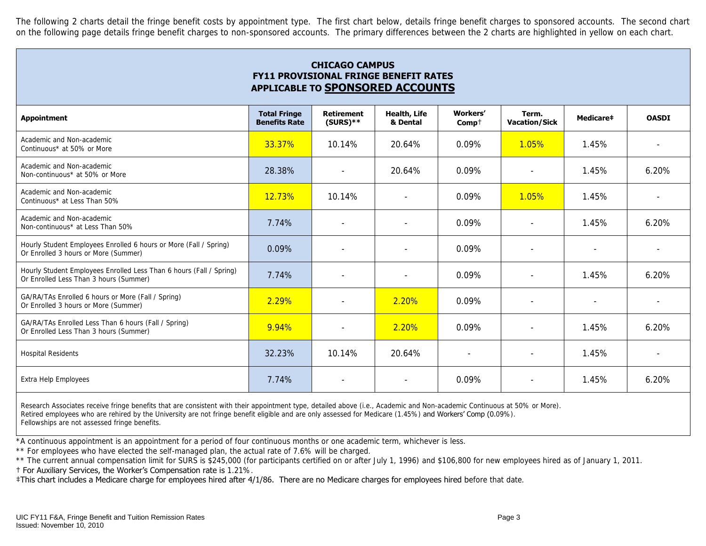The following 2 charts detail the fringe benefit costs by appointment type. The first chart below, details fringe benefit charges to sponsored accounts. The second chart on the following page details fringe benefit charges to non-sponsored accounts. The primary differences between the 2 charts are highlighted in yellow on each chart.

| <b>CHICAGO CAMPUS</b><br><b>FY11 PROVISIONAL FRINGE BENEFIT RATES</b><br>APPLICABLE TO SPONSORED ACCOUNTS     |                                             |                                  |                          |                     |                               |           |              |
|---------------------------------------------------------------------------------------------------------------|---------------------------------------------|----------------------------------|--------------------------|---------------------|-------------------------------|-----------|--------------|
| <b>Appointment</b>                                                                                            | <b>Total Fringe</b><br><b>Benefits Rate</b> | <b>Retirement</b><br>$(SURS)$ ** | Health, Life<br>& Dental | Workers'<br>$Comp+$ | Term.<br><b>Vacation/Sick</b> | Medicare‡ | <b>OASDI</b> |
| Academic and Non-academic<br>Continuous* at 50% or More                                                       | 33.37%                                      | 10.14%                           | 20.64%                   | 0.09%               | 1.05%                         | 1.45%     |              |
| Academic and Non-academic<br>Non-continuous* at 50% or More                                                   | 28.38%                                      | $\sim$                           | $20.64\%$                | 0.09%               |                               | 1.45%     | 6.20%        |
| Academic and Non-academic<br>Continuous* at Less Than 50%                                                     | 12.73%                                      | 10.14%                           | $\sim$                   | 0.09%               | 1.05%                         | 1.45%     |              |
| Academic and Non-academic<br>Non-continuous* at Less Than 50%                                                 | 7.74%                                       | $\overline{\phantom{a}}$         |                          | 0.09%               | $\sim$                        | 1.45%     | 6.20%        |
| Hourly Student Employees Enrolled 6 hours or More (Fall / Spring)<br>Or Enrolled 3 hours or More (Summer)     | 0.09%                                       |                                  |                          | 0.09%               |                               |           |              |
| Hourly Student Employees Enrolled Less Than 6 hours (Fall / Spring)<br>Or Enrolled Less Than 3 hours (Summer) | 7.74%                                       |                                  |                          | 0.09%               |                               | 1.45%     | 6.20%        |
| GA/RA/TAs Enrolled 6 hours or More (Fall / Spring)<br>Or Enrolled 3 hours or More (Summer)                    | 2.29%                                       | $\sim$                           | 2.20%                    | $0.09\%$            | $\sim$                        | $\sim$    |              |
| GA/RA/TAs Enrolled Less Than 6 hours (Fall / Spring)<br>Or Enrolled Less Than 3 hours (Summer)                | 9.94%                                       | $\sim$                           | 2.20%                    | 0.09%               | $\sim$                        | 1.45%     | 6.20%        |
| <b>Hospital Residents</b>                                                                                     | 32.23%                                      | 10.14%                           | 20.64%                   |                     | $\sim$                        | 1.45%     |              |
| Extra Help Employees                                                                                          | 7.74%                                       |                                  | $\sim$                   | 0.09%               | $\sim$                        | 1.45%     | 6.20%        |

Research Associates receive fringe benefits that are consistent with their appointment type, detailed above (i.e., Academic and Non-academic Continuous at 50% or More). Retired employees who are rehired by the University are not fringe benefit eligible and are only assessed for Medicare (1.45%) and Workers' Comp (0.09%). Fellowships are not assessed fringe benefits.

\*A continuous appointment is an appointment for a period of four continuous months or one academic term, whichever is less.

\*\* For employees who have elected the self-managed plan, the actual rate of 7.6% will be charged.

\*\* The current annual compensation limit for SURS is \$245,000 (for participants certified on or after July 1, 1996) and \$106,800 for new employees hired as of January 1, 2011.

† For Auxiliary Services, the Worker's Compensation rate is 1.21%.

‡This chart includes a Medicare charge for employees hired after 4/1/86. There are no Medicare charges for employees hired before that date.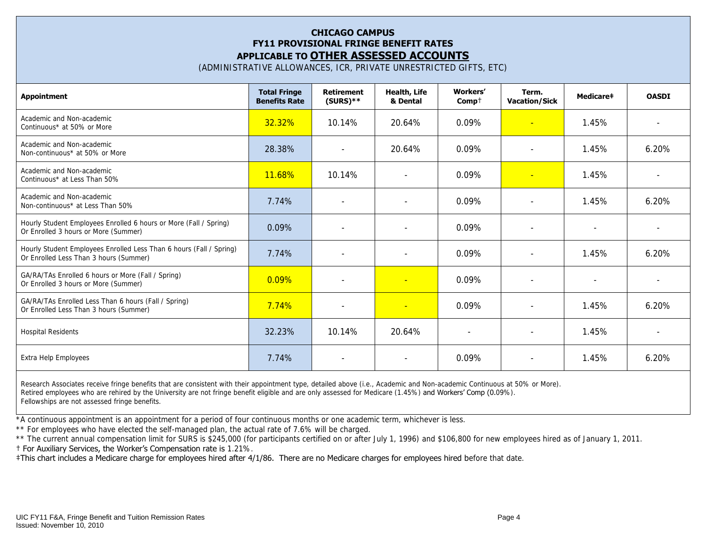### **CHICAGO CAMPUS FY11 PROVISIONAL FRINGE BENEFIT RATES APPLICABLE TO OTHER ASSESSED ACCOUNTS**

(ADMINISTRATIVE ALLOWANCES, ICR, PRIVATE UNRESTRICTED GIFTS, ETC)

| <b>Appointment</b>                                                                                            | <b>Total Fringe</b><br><b>Benefits Rate</b> | <b>Retirement</b><br>$(SURS)**$ | <b>Health, Life</b><br>& Dental | Workers'<br>$Comp+$ | Term.<br><b>Vacation/Sick</b> | <b>Medicare‡</b>         | <b>OASDI</b> |
|---------------------------------------------------------------------------------------------------------------|---------------------------------------------|---------------------------------|---------------------------------|---------------------|-------------------------------|--------------------------|--------------|
| Academic and Non-academic<br>Continuous* at 50% or More                                                       | 32.32%                                      | 10.14%                          | 20.64%                          | 0.09%               | ÷                             | 1.45%                    |              |
| Academic and Non-academic<br>Non-continuous* at 50% or More                                                   | 28.38%                                      | $\overline{a}$                  | 20.64%                          | $0.09\%$            |                               | 1.45%                    | $6.20\%$     |
| Academic and Non-academic<br>Continuous* at Less Than 50%                                                     | 11.68%                                      | 10.14%                          |                                 | $0.09\%$            | $\overline{\phantom{a}}$      | 1.45%                    |              |
| Academic and Non-academic<br>Non-continuous* at Less Than 50%                                                 | 7.74%                                       | $\overline{\phantom{a}}$        | $\overline{a}$                  | $0.09\%$            | $\overline{\phantom{a}}$      | 1.45%                    | $6.20\%$     |
| Hourly Student Employees Enrolled 6 hours or More (Fall / Spring)<br>Or Enrolled 3 hours or More (Summer)     | 0.09%                                       |                                 | $\overline{a}$                  | 0.09%               | $\overline{\phantom{a}}$      | $\overline{\phantom{a}}$ |              |
| Hourly Student Employees Enrolled Less Than 6 hours (Fall / Spring)<br>Or Enrolled Less Than 3 hours (Summer) | 7.74%                                       |                                 |                                 | $0.09\%$            |                               | 1.45%                    | $6.20\%$     |
| GA/RA/TAs Enrolled 6 hours or More (Fall / Spring)<br>Or Enrolled 3 hours or More (Summer)                    | $0.09\%$                                    | $\sim$                          | $\sim$                          | 0.09%               | $\sim$                        | $\sim$                   |              |
| GA/RA/TAs Enrolled Less Than 6 hours (Fall / Spring)<br>Or Enrolled Less Than 3 hours (Summer)                | 7.74%                                       | ÷                               | $\sim$                          | 0.09%               | ÷                             | 1.45%                    | 6.20%        |
| <b>Hospital Residents</b>                                                                                     | 32.23%                                      | 10.14%                          | 20.64%                          | $\sim$              | $\overline{\phantom{a}}$      | 1.45%                    |              |
| Extra Help Employees                                                                                          | 7.74%                                       |                                 | $\overline{a}$                  | 0.09%               |                               | 1.45%                    | 6.20%        |

Research Associates receive fringe benefits that are consistent with their appointment type, detailed above (i.e., Academic and Non-academic Continuous at 50% or More). Retired employees who are rehired by the University are not fringe benefit eligible and are only assessed for Medicare (1.45%) and Workers' Comp (0.09%). Fellowships are not assessed fringe benefits.

\*A continuous appointment is an appointment for a period of four continuous months or one academic term, whichever is less.

\*\* For employees who have elected the self-managed plan, the actual rate of 7.6% will be charged.

\*\* The current annual compensation limit for SURS is \$245,000 (for participants certified on or after July 1, 1996) and \$106,800 for new employees hired as of January 1, 2011.

† For Auxiliary Services, the Worker's Compensation rate is 1.21%.

‡This chart includes a Medicare charge for employees hired after 4/1/86. There are no Medicare charges for employees hired before that date.